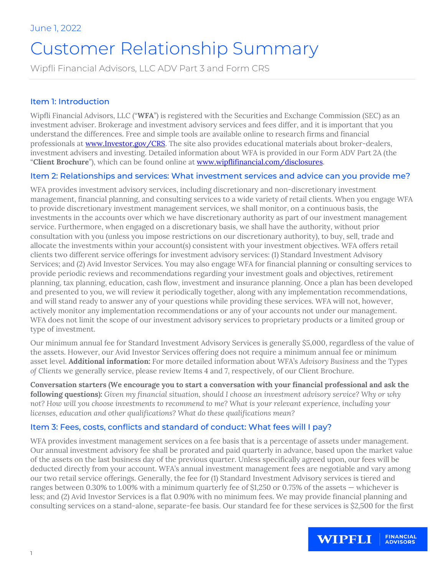# Customer Relationship Summary

Wipfli Financial Advisors, LLC ADV Part 3 and Form CRS

## Item 1: Introduction

Wipfli Financial Advisors, LLC ("**WFA**") is registered with the Securities and Exchange Commission (SEC) as an investment adviser. Brokerage and investment advisory services and fees differ, and it is important that you understand the differences. Free and simple tools are available online to research firms and financial professionals at [www.Investor.gov/CRS.](http://www.investor.gov/CRS) The site also provides educational materials about broker-dealers, investment advisers and investing. Detailed information about WFA is provided in our Form ADV Part 2A (the "**Client Brochure**"), which can be found online at [www.wipflifinancial.com/disclosures.](http://www.wipflifinancial.com/disclosures)

#### Item 2: Relationships and services: What investment services and advice can you provide me?

WFA provides investment advisory services, including discretionary and non-discretionary investment management, financial planning, and consulting services to a wide variety of retail clients. When you engage WFA to provide discretionary investment management services, we shall monitor, on a continuous basis, the investments in the accounts over which we have discretionary authority as part of our investment management service. Furthermore, when engaged on a discretionary basis, we shall have the authority, without prior consultation with you (unless you impose restrictions on our discretionary authority), to buy, sell, trade and allocate the investments within your account(s) consistent with your investment objectives. WFA offers retail clients two different service offerings for investment advisory services: (1) Standard Investment Advisory Services; and (2) Avid Investor Services. You may also engage WFA for financial planning or consulting services to provide periodic reviews and recommendations regarding your investment goals and objectives, retirement planning, tax planning, education, cash flow, investment and insurance planning. Once a plan has been developed and presented to you, we will review it periodically together, along with any implementation recommendations, and will stand ready to answer any of your questions while providing these services. WFA will not, however, actively monitor any implementation recommendations or any of your accounts not under our management. WFA does not limit the scope of our investment advisory services to proprietary products or a limited group or type of investment.

Our minimum annual fee for Standard Investment Advisory Services is generally \$5,000, regardless of the value of the assets. However, our Avid Investor Services offering does not require a minimum annual fee or minimum asset level. **Additional information:** For more detailed information about WFA's *Advisory Business* and the *Types of Clients* we generally service, please review Items 4 and 7, respectively, of our Client Brochure.

**Conversation starters (We encourage you to start a conversation with your financial professional and ask the following questions):** *Given my financial situation, should I choose an investment advisory service? Why or why not? How will you choose investments to recommend to me? What is your relevant experience, including your licenses, education and other qualifications? What do these qualifications mean?*

## Item 3: Fees, costs, conflicts and standard of conduct: What fees will I pay?

WFA provides investment management services on a fee basis that is a percentage of assets under management. Our annual investment advisory fee shall be prorated and paid quarterly in advance, based upon the market value of the assets on the last business day of the previous quarter. Unless specifically agreed upon, our fees will be deducted directly from your account. WFA's annual investment management fees are negotiable and vary among our two retail service offerings. Generally, the fee for (1) Standard Investment Advisory services is tiered and ranges between 0.30% to 1.00% with a minimum quarterly fee of \$1,250 or 0.75% of the assets — whichever is less; and (2) Avid Investor Services is a flat 0.90% with no minimum fees. We may provide financial planning and consulting services on a stand-alone, separate-fee basis. Our standard fee for these services is \$2,500 for the first